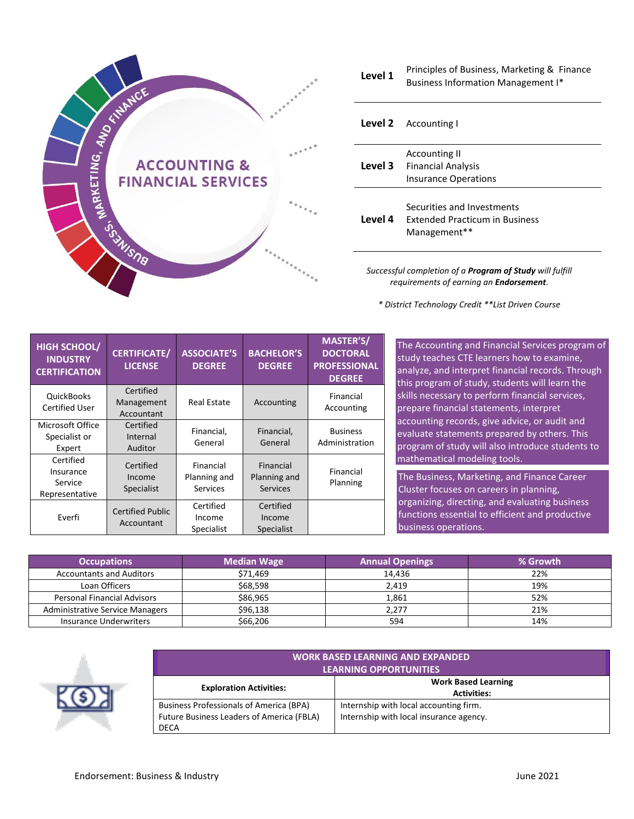

**Level 1** Principles of Business, Marketing & Finance Business Information Management I\*

|         | <b>Level 2</b> Accounting I                                                         |
|---------|-------------------------------------------------------------------------------------|
|         | Accounting II<br><b>Level 3</b> Financial Analysis<br><b>Insurance Operations</b>   |
| Level 4 | Securities and Investments<br><b>Extended Practicum in Business</b><br>Management** |

*Successful completion of a Program of Study will fulfill requirements of earning an Endorsement.*

*\* District Technology Credit \*\*List Driven Course*

| <b>HIGH SCHOOL/</b><br><b>INDUSTRY</b><br><b>CERTIFICATION</b> | <b>CERTIFICATE/</b><br><b>LICENSE</b> | <b>ASSOCIATE'S</b><br><b>DEGREE</b>          | <b>BACHELOR'S</b><br><b>DEGREE</b>           | <b>MASTER'S/</b><br><b>DOCTORAL</b><br><b>PROFESSIONAL</b><br><b>DEGREE</b> |
|----------------------------------------------------------------|---------------------------------------|----------------------------------------------|----------------------------------------------|-----------------------------------------------------------------------------|
| <b>QuickBooks</b><br><b>Certified User</b>                     | Certified<br>Management<br>Accountant | <b>Real Estate</b>                           | Accounting                                   | Financial<br>Accounting                                                     |
| Microsoft Office<br>Specialist or<br>Expert                    | Certified<br>Internal<br>Auditor      | Financial,<br>General                        | Financial,<br>General                        | <b>Business</b><br>Administration                                           |
| Certified<br>Insurance<br>Service<br>Representative            | Certified<br>Income<br>Specialist     | Financial<br>Planning and<br><b>Services</b> | Financial<br>Planning and<br><b>Services</b> | Financial<br>Planning                                                       |
| Everfi                                                         | <b>Certified Public</b><br>Accountant | Certified<br>Income<br>Specialist            | Certified<br>Income<br>Specialist            |                                                                             |

The Accounting and Financial Services program of study teaches CTE learners how to examine, analyze, and interpret financial records. Through this program of study, students will learn the skills necessary to perform financial services, prepare financial statements, interpret accounting records, give advice, or audit and evaluate statements prepared by others. This program of study will also introduce students to mathematical modeling tools.

The Business, Marketing, and Finance Career Cluster focuses on careers in planning, organizing, directing, and evaluating business functions essential to efficient and productive business operations.

| <b>Occupations</b>                     | <b>Median Wage</b> | <b>Annual Openings</b> | % Growth |
|----------------------------------------|--------------------|------------------------|----------|
| <b>Accountants and Auditors</b>        | \$71,469           | 14.436                 | 22%      |
| Loan Officers                          | \$68,598           | 2.419                  | 19%      |
| <b>Personal Financial Advisors</b>     | \$86,965           | 1,861                  | 52%      |
| <b>Administrative Service Managers</b> | \$96,138           | 2.277                  | 21%      |
| Insurance Underwriters                 | \$66,206           | 594                    | 14%      |



| <b>WORK BASED LEARNING AND EXPANDED</b><br><b>LEARNING OPPORTUNITIES</b>                            |                                                                                   |  |  |  |  |
|-----------------------------------------------------------------------------------------------------|-----------------------------------------------------------------------------------|--|--|--|--|
| <b>Exploration Activities:</b>                                                                      | <b>Work Based Learning</b><br><b>Activities:</b>                                  |  |  |  |  |
| <b>Business Professionals of America (BPA)</b><br>Future Business Leaders of America (FBLA)<br>DECA | Internship with local accounting firm.<br>Internship with local insurance agency. |  |  |  |  |